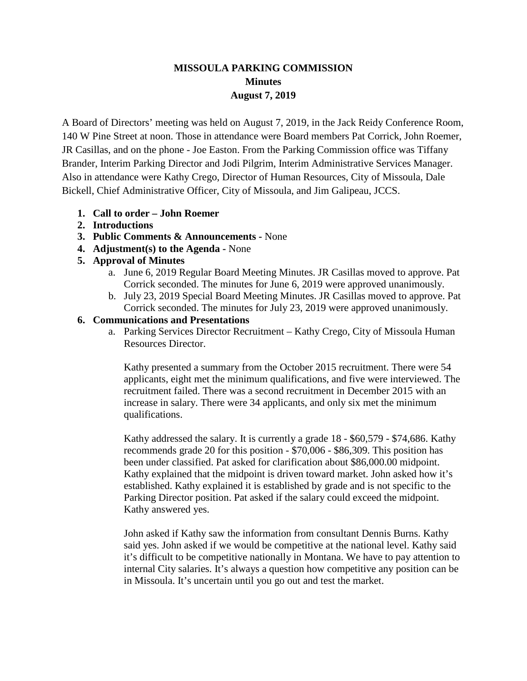# **MISSOULA PARKING COMMISSION Minutes August 7, 2019**

A Board of Directors' meeting was held on August 7, 2019, in the Jack Reidy Conference Room, 140 W Pine Street at noon. Those in attendance were Board members Pat Corrick, John Roemer, JR Casillas, and on the phone - Joe Easton. From the Parking Commission office was Tiffany Brander, Interim Parking Director and Jodi Pilgrim, Interim Administrative Services Manager. Also in attendance were Kathy Crego, Director of Human Resources, City of Missoula, Dale Bickell, Chief Administrative Officer, City of Missoula, and Jim Galipeau, JCCS.

- **1. Call to order – John Roemer**
- **2. Introductions**
- **3. Public Comments & Announcements -** None
- **4. Adjustment(s) to the Agenda -** None
- **5. Approval of Minutes**
	- a. June 6, 2019 Regular Board Meeting Minutes. JR Casillas moved to approve. Pat Corrick seconded. The minutes for June 6, 2019 were approved unanimously.
	- b. July 23, 2019 Special Board Meeting Minutes. JR Casillas moved to approve. Pat Corrick seconded. The minutes for July 23, 2019 were approved unanimously.

# **6. Communications and Presentations**

a. Parking Services Director Recruitment – Kathy Crego, City of Missoula Human Resources Director.

Kathy presented a summary from the October 2015 recruitment. There were 54 applicants, eight met the minimum qualifications, and five were interviewed. The recruitment failed. There was a second recruitment in December 2015 with an increase in salary. There were 34 applicants, and only six met the minimum qualifications.

Kathy addressed the salary. It is currently a grade 18 - \$60,579 - \$74,686. Kathy recommends grade 20 for this position - \$70,006 - \$86,309. This position has been under classified. Pat asked for clarification about \$86,000.00 midpoint. Kathy explained that the midpoint is driven toward market. John asked how it's established. Kathy explained it is established by grade and is not specific to the Parking Director position. Pat asked if the salary could exceed the midpoint. Kathy answered yes.

John asked if Kathy saw the information from consultant Dennis Burns. Kathy said yes. John asked if we would be competitive at the national level. Kathy said it's difficult to be competitive nationally in Montana. We have to pay attention to internal City salaries. It's always a question how competitive any position can be in Missoula. It's uncertain until you go out and test the market.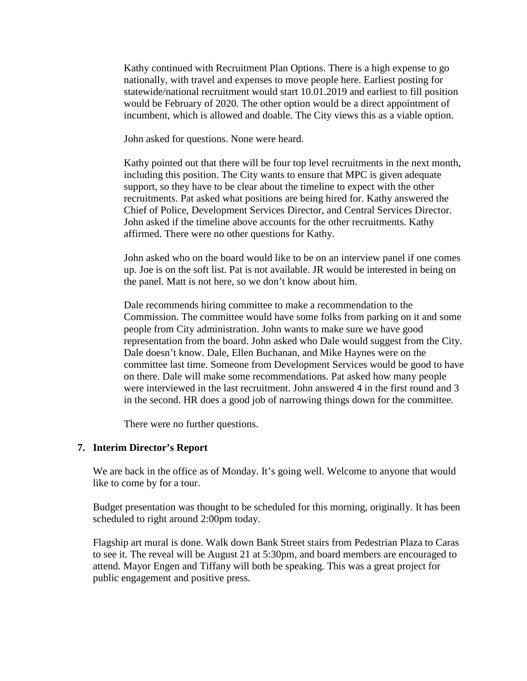Kathy continued with Recruitment Plan Options. There is a high expense to go nationally, with travel and expenses to move people here. Earliest posting for statewide/national recruitment would start 10.01.2019 and earliest to fill position would be February of 2020. The other option would be a direct appointment of incumbent, which is allowed and doable. The City views this as a viable option.

John asked for questions. None were heard.

Kathy pointed out that there will be four top level recruitments in the next month, including this position. The City wants to ensure that MPC is given adequate support, so they have to be clear about the timeline to expect with the other recruitments. Pat asked what positions are being hired for. Kathy answered the Chief of Police, Development Services Director, and Central Services Director. John asked if the timeline above accounts for the other recruitments. Kathy affirmed. There were no other questions for Kathy.

John asked who on the board would like to be on an interview panel if one comes up. Joe is on the soft list. Pat is not available. JR would be interested in being on the panel. Matt is not here, so we don't know about him.

Dale recommends hiring committee to make a recommendation to the Commission. The committee would have some folks from parking on it and some people from City administration. John wants to make sure we have good representation from the board. John asked who Dale would suggest from the City. Dale doesn't know. Dale, Ellen Buchanan, and Mike Haynes were on the committee last time. Someone from Development Services would be good to have on there. Dale will make some recommendations. Pat asked how many people were interviewed in the last recruitment. John answered 4 in the first round and 3 in the second. HR does a good job of narrowing things down for the committee.

There were no further questions.

### **7. Interim Director's Report**

We are back in the office as of Monday. It's going well. Welcome to anyone that would like to come by for a tour.

Budget presentation was thought to be scheduled for this morning, originally. It has been scheduled to right around 2:00pm today.

Flagship art mural is done. Walk down Bank Street stairs from Pedestrian Plaza to Caras to see it. The reveal will be August 21 at 5:30pm, and board members are encouraged to attend. Mayor Engen and Tiffany will both be speaking. This was a great project for public engagement and positive press.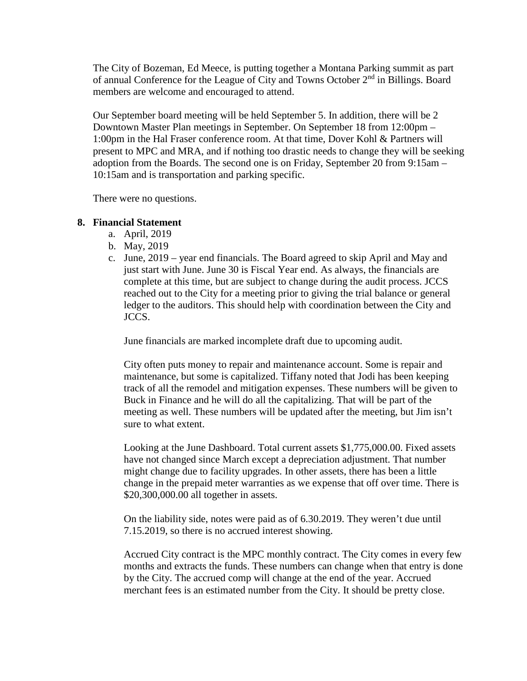The City of Bozeman, Ed Meece, is putting together a Montana Parking summit as part of annual Conference for the League of City and Towns October 2nd in Billings. Board members are welcome and encouraged to attend.

Our September board meeting will be held September 5. In addition, there will be 2 Downtown Master Plan meetings in September. On September 18 from 12:00pm – 1:00pm in the Hal Fraser conference room. At that time, Dover Kohl & Partners will present to MPC and MRA, and if nothing too drastic needs to change they will be seeking adoption from the Boards. The second one is on Friday, September 20 from 9:15am – 10:15am and is transportation and parking specific.

There were no questions.

### **8. Financial Statement**

- a. April, 2019
- b. May, 2019
- c. June, 2019 year end financials. The Board agreed to skip April and May and just start with June. June 30 is Fiscal Year end. As always, the financials are complete at this time, but are subject to change during the audit process. JCCS reached out to the City for a meeting prior to giving the trial balance or general ledger to the auditors. This should help with coordination between the City and JCCS.

June financials are marked incomplete draft due to upcoming audit.

City often puts money to repair and maintenance account. Some is repair and maintenance, but some is capitalized. Tiffany noted that Jodi has been keeping track of all the remodel and mitigation expenses. These numbers will be given to Buck in Finance and he will do all the capitalizing. That will be part of the meeting as well. These numbers will be updated after the meeting, but Jim isn't sure to what extent.

Looking at the June Dashboard. Total current assets \$1,775,000.00. Fixed assets have not changed since March except a depreciation adjustment. That number might change due to facility upgrades. In other assets, there has been a little change in the prepaid meter warranties as we expense that off over time. There is \$20,300,000.00 all together in assets.

On the liability side, notes were paid as of 6.30.2019. They weren't due until 7.15.2019, so there is no accrued interest showing.

Accrued City contract is the MPC monthly contract. The City comes in every few months and extracts the funds. These numbers can change when that entry is done by the City. The accrued comp will change at the end of the year. Accrued merchant fees is an estimated number from the City. It should be pretty close.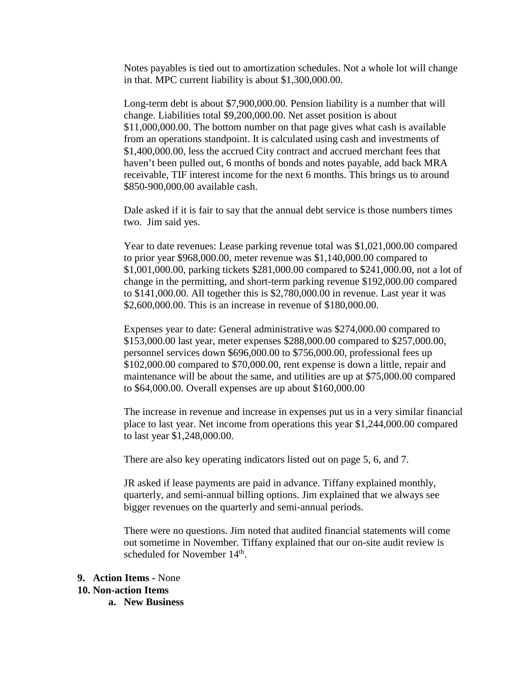Notes payables is tied out to amortization schedules. Not a whole lot will change in that. MPC current liability is about \$1,300,000.00.

Long-term debt is about \$7,900,000.00. Pension liability is a number that will change. Liabilities total \$9,200,000.00. Net asset position is about \$11,000,000.00. The bottom number on that page gives what cash is available from an operations standpoint. It is calculated using cash and investments of \$1,400,000.00, less the accrued City contract and accrued merchant fees that haven't been pulled out, 6 months of bonds and notes payable, add back MRA receivable, TIF interest income for the next 6 months. This brings us to around \$850-900,000.00 available cash.

Dale asked if it is fair to say that the annual debt service is those numbers times two. Jim said yes.

Year to date revenues: Lease parking revenue total was \$1,021,000.00 compared to prior year \$968,000.00, meter revenue was \$1,140,000.00 compared to \$1,001,000.00, parking tickets \$281,000.00 compared to \$241,000.00, not a lot of change in the permitting, and short-term parking revenue \$192,000.00 compared to \$141,000.00. All together this is \$2,780,000.00 in revenue. Last year it was \$2,600,000.00. This is an increase in revenue of \$180,000.00.

Expenses year to date: General administrative was \$274,000.00 compared to \$153,000.00 last year, meter expenses \$288,000.00 compared to \$257,000.00, personnel services down \$696,000.00 to \$756,000.00, professional fees up \$102,000.00 compared to \$70,000.00, rent expense is down a little, repair and maintenance will be about the same, and utilities are up at \$75,000.00 compared to \$64,000.00. Overall expenses are up about \$160,000.00

The increase in revenue and increase in expenses put us in a very similar financial place to last year. Net income from operations this year \$1,244,000.00 compared to last year \$1,248,000.00.

There are also key operating indicators listed out on page 5, 6, and 7.

JR asked if lease payments are paid in advance. Tiffany explained monthly, quarterly, and semi-annual billing options. Jim explained that we always see bigger revenues on the quarterly and semi-annual periods.

There were no questions. Jim noted that audited financial statements will come out sometime in November. Tiffany explained that our on-site audit review is scheduled for November 14<sup>th</sup>.

# **9. Action Items -** None

#### **10. Non-action Items**

**a. New Business**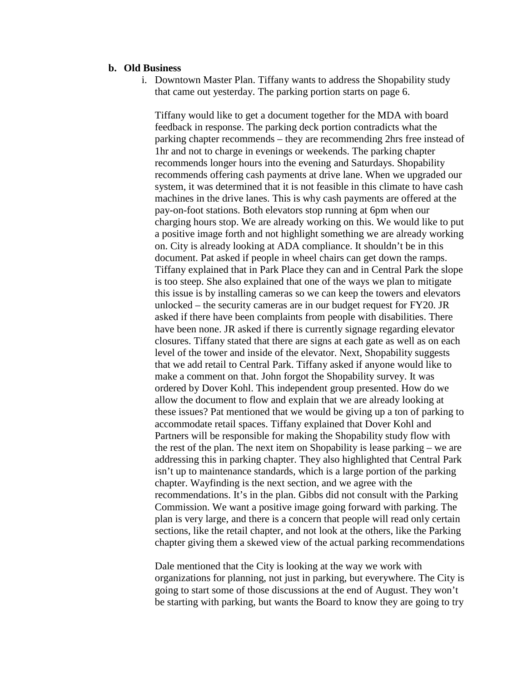### **b. Old Business**

i. Downtown Master Plan. Tiffany wants to address the Shopability study that came out yesterday. The parking portion starts on page 6.

Tiffany would like to get a document together for the MDA with board feedback in response. The parking deck portion contradicts what the parking chapter recommends – they are recommending 2hrs free instead of 1hr and not to charge in evenings or weekends. The parking chapter recommends longer hours into the evening and Saturdays. Shopability recommends offering cash payments at drive lane. When we upgraded our system, it was determined that it is not feasible in this climate to have cash machines in the drive lanes. This is why cash payments are offered at the pay-on-foot stations. Both elevators stop running at 6pm when our charging hours stop. We are already working on this. We would like to put a positive image forth and not highlight something we are already working on. City is already looking at ADA compliance. It shouldn't be in this document. Pat asked if people in wheel chairs can get down the ramps. Tiffany explained that in Park Place they can and in Central Park the slope is too steep. She also explained that one of the ways we plan to mitigate this issue is by installing cameras so we can keep the towers and elevators unlocked – the security cameras are in our budget request for FY20. JR asked if there have been complaints from people with disabilities. There have been none. JR asked if there is currently signage regarding elevator closures. Tiffany stated that there are signs at each gate as well as on each level of the tower and inside of the elevator. Next, Shopability suggests that we add retail to Central Park. Tiffany asked if anyone would like to make a comment on that. John forgot the Shopability survey. It was ordered by Dover Kohl. This independent group presented. How do we allow the document to flow and explain that we are already looking at these issues? Pat mentioned that we would be giving up a ton of parking to accommodate retail spaces. Tiffany explained that Dover Kohl and Partners will be responsible for making the Shopability study flow with the rest of the plan. The next item on Shopability is lease parking – we are addressing this in parking chapter. They also highlighted that Central Park isn't up to maintenance standards, which is a large portion of the parking chapter. Wayfinding is the next section, and we agree with the recommendations. It's in the plan. Gibbs did not consult with the Parking Commission. We want a positive image going forward with parking. The plan is very large, and there is a concern that people will read only certain sections, like the retail chapter, and not look at the others, like the Parking chapter giving them a skewed view of the actual parking recommendations

Dale mentioned that the City is looking at the way we work with organizations for planning, not just in parking, but everywhere. The City is going to start some of those discussions at the end of August. They won't be starting with parking, but wants the Board to know they are going to try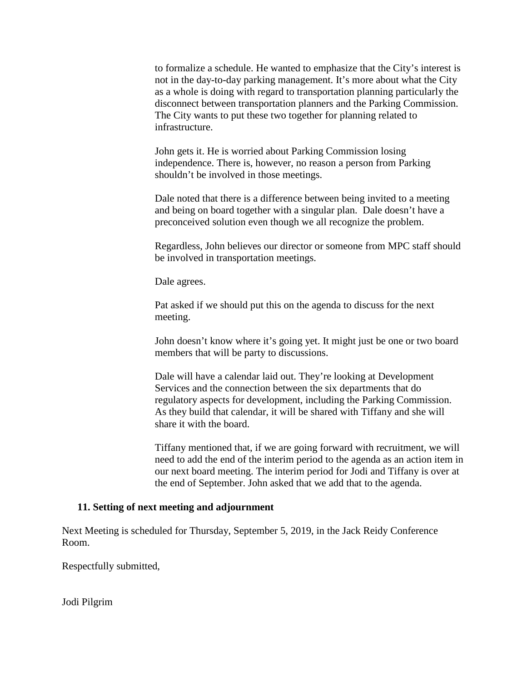to formalize a schedule. He wanted to emphasize that the City's interest is not in the day-to-day parking management. It's more about what the City as a whole is doing with regard to transportation planning particularly the disconnect between transportation planners and the Parking Commission. The City wants to put these two together for planning related to infrastructure.

John gets it. He is worried about Parking Commission losing independence. There is, however, no reason a person from Parking shouldn't be involved in those meetings.

Dale noted that there is a difference between being invited to a meeting and being on board together with a singular plan. Dale doesn't have a preconceived solution even though we all recognize the problem.

Regardless, John believes our director or someone from MPC staff should be involved in transportation meetings.

Dale agrees.

Pat asked if we should put this on the agenda to discuss for the next meeting.

John doesn't know where it's going yet. It might just be one or two board members that will be party to discussions.

Dale will have a calendar laid out. They're looking at Development Services and the connection between the six departments that do regulatory aspects for development, including the Parking Commission. As they build that calendar, it will be shared with Tiffany and she will share it with the board.

Tiffany mentioned that, if we are going forward with recruitment, we will need to add the end of the interim period to the agenda as an action item in our next board meeting. The interim period for Jodi and Tiffany is over at the end of September. John asked that we add that to the agenda.

#### **11. Setting of next meeting and adjournment**

Next Meeting is scheduled for Thursday, September 5, 2019, in the Jack Reidy Conference Room.

Respectfully submitted,

Jodi Pilgrim